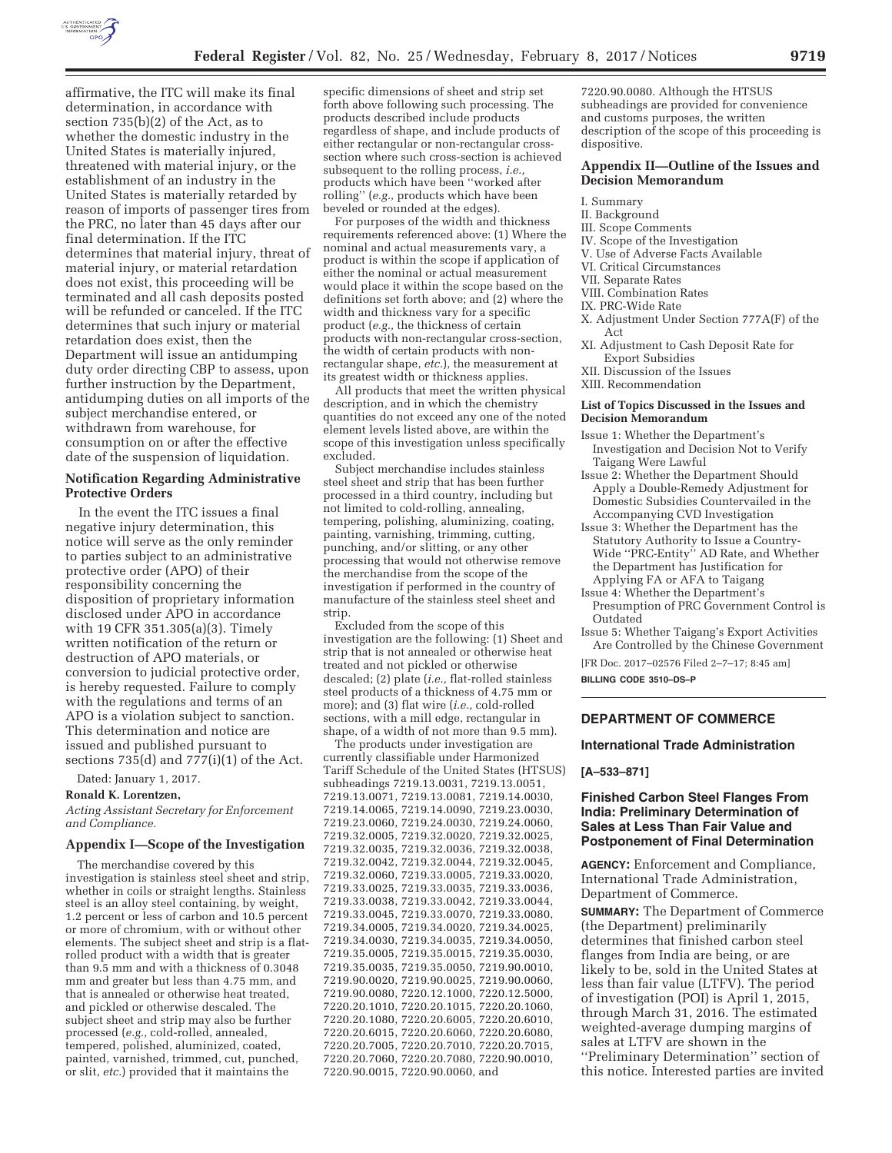

affirmative, the ITC will make its final determination, in accordance with section 735(b)(2) of the Act, as to whether the domestic industry in the United States is materially injured, threatened with material injury, or the establishment of an industry in the United States is materially retarded by reason of imports of passenger tires from the PRC, no later than 45 days after our final determination. If the ITC determines that material injury, threat of material injury, or material retardation does not exist, this proceeding will be terminated and all cash deposits posted will be refunded or canceled. If the ITC determines that such injury or material retardation does exist, then the Department will issue an antidumping duty order directing CBP to assess, upon further instruction by the Department, antidumping duties on all imports of the subject merchandise entered, or withdrawn from warehouse, for consumption on or after the effective date of the suspension of liquidation.

# **Notification Regarding Administrative Protective Orders**

In the event the ITC issues a final negative injury determination, this notice will serve as the only reminder to parties subject to an administrative protective order (APO) of their responsibility concerning the disposition of proprietary information disclosed under APO in accordance with 19 CFR 351.305(a)(3). Timely written notification of the return or destruction of APO materials, or conversion to judicial protective order, is hereby requested. Failure to comply with the regulations and terms of an APO is a violation subject to sanction. This determination and notice are issued and published pursuant to sections 735(d) and 777(i)(1) of the Act.

Dated: January 1, 2017.

#### **Ronald K. Lorentzen,**

*Acting Assistant Secretary for Enforcement and Compliance.* 

#### **Appendix I—Scope of the Investigation**

The merchandise covered by this investigation is stainless steel sheet and strip, whether in coils or straight lengths. Stainless steel is an alloy steel containing, by weight, 1.2 percent or less of carbon and 10.5 percent or more of chromium, with or without other elements. The subject sheet and strip is a flatrolled product with a width that is greater than 9.5 mm and with a thickness of 0.3048 mm and greater but less than 4.75 mm, and that is annealed or otherwise heat treated, and pickled or otherwise descaled. The subject sheet and strip may also be further processed (*e.g.,* cold-rolled, annealed, tempered, polished, aluminized, coated, painted, varnished, trimmed, cut, punched, or slit, *etc.*) provided that it maintains the

specific dimensions of sheet and strip set forth above following such processing. The products described include products regardless of shape, and include products of either rectangular or non-rectangular crosssection where such cross-section is achieved subsequent to the rolling process, *i.e.,*  products which have been ''worked after rolling'' (*e.g.,* products which have been beveled or rounded at the edges).

For purposes of the width and thickness requirements referenced above: (1) Where the nominal and actual measurements vary, a product is within the scope if application of either the nominal or actual measurement would place it within the scope based on the definitions set forth above; and (2) where the width and thickness vary for a specific product (*e.g.,* the thickness of certain products with non-rectangular cross-section, the width of certain products with nonrectangular shape, *etc.*), the measurement at its greatest width or thickness applies.

All products that meet the written physical description, and in which the chemistry quantities do not exceed any one of the noted element levels listed above, are within the scope of this investigation unless specifically excluded.

Subject merchandise includes stainless steel sheet and strip that has been further processed in a third country, including but not limited to cold-rolling, annealing, tempering, polishing, aluminizing, coating, painting, varnishing, trimming, cutting, punching, and/or slitting, or any other processing that would not otherwise remove the merchandise from the scope of the investigation if performed in the country of manufacture of the stainless steel sheet and strip.

Excluded from the scope of this investigation are the following: (1) Sheet and strip that is not annealed or otherwise heat treated and not pickled or otherwise descaled; (2) plate (*i.e.,* flat-rolled stainless steel products of a thickness of 4.75 mm or more); and (3) flat wire (*i.e.,* cold-rolled sections, with a mill edge, rectangular in shape, of a width of not more than 9.5 mm).

The products under investigation are currently classifiable under Harmonized Tariff Schedule of the United States (HTSUS) subheadings 7219.13.0031, 7219.13.0051, 7219.13.0071, 7219.13.0081, 7219.14.0030, 7219.14.0065, 7219.14.0090, 7219.23.0030, 7219.23.0060, 7219.24.0030, 7219.24.0060, 7219.32.0005, 7219.32.0020, 7219.32.0025, 7219.32.0035, 7219.32.0036, 7219.32.0038, 7219.32.0042, 7219.32.0044, 7219.32.0045, 7219.32.0060, 7219.33.0005, 7219.33.0020, 7219.33.0025, 7219.33.0035, 7219.33.0036, 7219.33.0038, 7219.33.0042, 7219.33.0044, 7219.33.0045, 7219.33.0070, 7219.33.0080, 7219.34.0005, 7219.34.0020, 7219.34.0025, 7219.34.0030, 7219.34.0035, 7219.34.0050, 7219.35.0005, 7219.35.0015, 7219.35.0030, 7219.35.0035, 7219.35.0050, 7219.90.0010, 7219.90.0020, 7219.90.0025, 7219.90.0060, 7219.90.0080, 7220.12.1000, 7220.12.5000, 7220.20.1010, 7220.20.1015, 7220.20.1060, 7220.20.1080, 7220.20.6005, 7220.20.6010, 7220.20.6015, 7220.20.6060, 7220.20.6080, 7220.20.7005, 7220.20.7010, 7220.20.7015, 7220.20.7060, 7220.20.7080, 7220.90.0010, 7220.90.0015, 7220.90.0060, and

7220.90.0080. Although the HTSUS subheadings are provided for convenience and customs purposes, the written description of the scope of this proceeding is dispositive.

# **Appendix II—Outline of the Issues and Decision Memorandum**

- I. Summary
- II. Background
- III. Scope Comments
- IV. Scope of the Investigation
- V. Use of Adverse Facts Available
- VI. Critical Circumstances
- VII. Separate Rates
- VIII. Combination Rates
- IX. PRC-Wide Rate
- X. Adjustment Under Section 777A(F) of the Act
- XI. Adjustment to Cash Deposit Rate for Export Subsidies
- XII. Discussion of the Issues
- XIII. Recommendation

#### **List of Topics Discussed in the Issues and Decision Memorandum**

- Issue 1: Whether the Department's Investigation and Decision Not to Verify Taigang Were Lawful
- Issue 2: Whether the Department Should Apply a Double-Remedy Adjustment for Domestic Subsidies Countervailed in the Accompanying CVD Investigation
- Issue 3: Whether the Department has the Statutory Authority to Issue a Country-Wide ''PRC-Entity'' AD Rate, and Whether the Department has Justification for Applying FA or AFA to Taigang
- Issue 4: Whether the Department's Presumption of PRC Government Control is Outdated
- Issue 5: Whether Taigang's Export Activities Are Controlled by the Chinese Government

[FR Doc. 2017–02576 Filed 2–7–17; 8:45 am] **BILLING CODE 3510–DS–P** 

## **DEPARTMENT OF COMMERCE**

#### **International Trade Administration**

#### **[A–533–871]**

## **Finished Carbon Steel Flanges From India: Preliminary Determination of Sales at Less Than Fair Value and Postponement of Final Determination**

**AGENCY:** Enforcement and Compliance, International Trade Administration, Department of Commerce.

**SUMMARY:** The Department of Commerce (the Department) preliminarily determines that finished carbon steel flanges from India are being, or are likely to be, sold in the United States at less than fair value (LTFV). The period of investigation (POI) is April 1, 2015, through March 31, 2016. The estimated weighted-average dumping margins of sales at LTFV are shown in the ''Preliminary Determination'' section of this notice. Interested parties are invited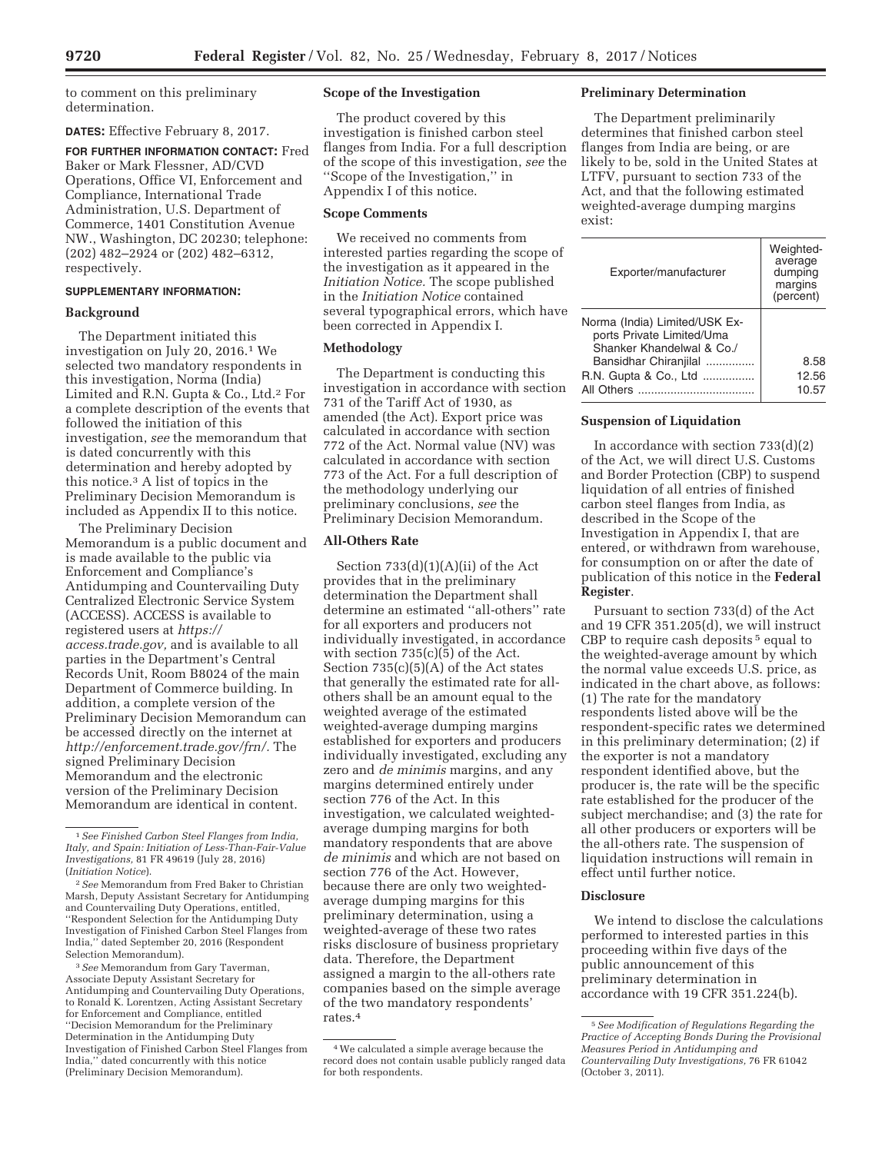to comment on this preliminary determination.

**DATES:** Effective February 8, 2017.

**FOR FURTHER INFORMATION CONTACT:** Fred Baker or Mark Flessner, AD/CVD Operations, Office VI, Enforcement and Compliance, International Trade Administration, U.S. Department of Commerce, 1401 Constitution Avenue NW., Washington, DC 20230; telephone: (202) 482–2924 or (202) 482–6312, respectively.

#### **SUPPLEMENTARY INFORMATION:**

## **Background**

The Department initiated this investigation on July 20, 2016.1 We selected two mandatory respondents in this investigation, Norma (India) Limited and R.N. Gupta & Co., Ltd.2 For a complete description of the events that followed the initiation of this investigation, *see* the memorandum that is dated concurrently with this determination and hereby adopted by this notice.3 A list of topics in the Preliminary Decision Memorandum is included as Appendix II to this notice.

The Preliminary Decision Memorandum is a public document and is made available to the public via Enforcement and Compliance's Antidumping and Countervailing Duty Centralized Electronic Service System (ACCESS). ACCESS is available to registered users at *https:// access.trade.gov,* and is available to all parties in the Department's Central Records Unit, Room B8024 of the main Department of Commerce building. In addition, a complete version of the Preliminary Decision Memorandum can be accessed directly on the internet at *http://enforcement.trade.gov/frn/.* The signed Preliminary Decision Memorandum and the electronic version of the Preliminary Decision Memorandum are identical in content.

3*See* Memorandum from Gary Taverman, Associate Deputy Assistant Secretary for Antidumping and Countervailing Duty Operations, to Ronald K. Lorentzen, Acting Assistant Secretary for Enforcement and Compliance, entitled ''Decision Memorandum for the Preliminary Determination in the Antidumping Duty Investigation of Finished Carbon Steel Flanges from India,'' dated concurrently with this notice (Preliminary Decision Memorandum).

## **Scope of the Investigation**

The product covered by this investigation is finished carbon steel flanges from India. For a full description of the scope of this investigation, *see* the ''Scope of the Investigation,'' in Appendix I of this notice.

#### **Scope Comments**

We received no comments from interested parties regarding the scope of the investigation as it appeared in the *Initiation Notice.* The scope published in the *Initiation Notice* contained several typographical errors, which have been corrected in Appendix I.

#### **Methodology**

The Department is conducting this investigation in accordance with section 731 of the Tariff Act of 1930, as amended (the Act). Export price was calculated in accordance with section 772 of the Act. Normal value (NV) was calculated in accordance with section 773 of the Act. For a full description of the methodology underlying our preliminary conclusions, *see* the Preliminary Decision Memorandum.

## **All-Others Rate**

Section 733(d)(1)(A)(ii) of the Act provides that in the preliminary determination the Department shall determine an estimated ''all-others'' rate for all exporters and producers not individually investigated, in accordance with section  $735(c)(5)$  of the Act. Section 735(c)(5)(A) of the Act states that generally the estimated rate for allothers shall be an amount equal to the weighted average of the estimated weighted-average dumping margins established for exporters and producers individually investigated, excluding any zero and *de minimis* margins, and any margins determined entirely under section 776 of the Act. In this investigation, we calculated weightedaverage dumping margins for both mandatory respondents that are above *de minimis* and which are not based on section 776 of the Act. However, because there are only two weightedaverage dumping margins for this preliminary determination, using a weighted-average of these two rates risks disclosure of business proprietary data. Therefore, the Department assigned a margin to the all-others rate companies based on the simple average of the two mandatory respondents' rates.4

## **Preliminary Determination**

The Department preliminarily determines that finished carbon steel flanges from India are being, or are likely to be, sold in the United States at LTFV, pursuant to section 733 of the Act, and that the following estimated weighted-average dumping margins exist:

| Exporter/manufacturer                                                                                                                                   | Weighted-<br>average<br>dumping<br>margins<br>(percent) |
|---------------------------------------------------------------------------------------------------------------------------------------------------------|---------------------------------------------------------|
| Norma (India) Limited/USK Ex-<br>ports Private Limited/Uma<br>Shanker Khandelwal & Co./<br>Bansidhar Chiranjilal<br>R.N. Gupta & Co., Ltd<br>All Others | 8.58<br>12.56<br>10.57                                  |

## **Suspension of Liquidation**

In accordance with section 733(d)(2) of the Act, we will direct U.S. Customs and Border Protection (CBP) to suspend liquidation of all entries of finished carbon steel flanges from India, as described in the Scope of the Investigation in Appendix I, that are entered, or withdrawn from warehouse, for consumption on or after the date of publication of this notice in the **Federal Register**.

Pursuant to section 733(d) of the Act and 19 CFR 351.205(d), we will instruct CBP to require cash deposits<sup>5</sup> equal to the weighted-average amount by which the normal value exceeds U.S. price, as indicated in the chart above, as follows: (1) The rate for the mandatory respondents listed above will be the respondent-specific rates we determined in this preliminary determination; (2) if the exporter is not a mandatory respondent identified above, but the producer is, the rate will be the specific rate established for the producer of the subject merchandise; and (3) the rate for all other producers or exporters will be the all-others rate. The suspension of liquidation instructions will remain in effect until further notice.

# **Disclosure**

We intend to disclose the calculations performed to interested parties in this proceeding within five days of the public announcement of this preliminary determination in accordance with 19 CFR 351.224(b).

<sup>1</sup>*See Finished Carbon Steel Flanges from India, Italy, and Spain: Initiation of Less-Than-Fair-Value Investigations,* 81 FR 49619 (July 28, 2016) (*Initiation Notice*).

<sup>2</sup>*See* Memorandum from Fred Baker to Christian Marsh, Deputy Assistant Secretary for Antidumping and Countervailing Duty Operations, entitled, ''Respondent Selection for the Antidumping Duty Investigation of Finished Carbon Steel Flanges from India,'' dated September 20, 2016 (Respondent Selection Memorandum).

<sup>4</sup>We calculated a simple average because the record does not contain usable publicly ranged data for both respondents.

<sup>5</sup>*See Modification of Regulations Regarding the Practice of Accepting Bonds During the Provisional Measures Period in Antidumping and Countervailing Duty Investigations,* 76 FR 61042 (October 3, 2011).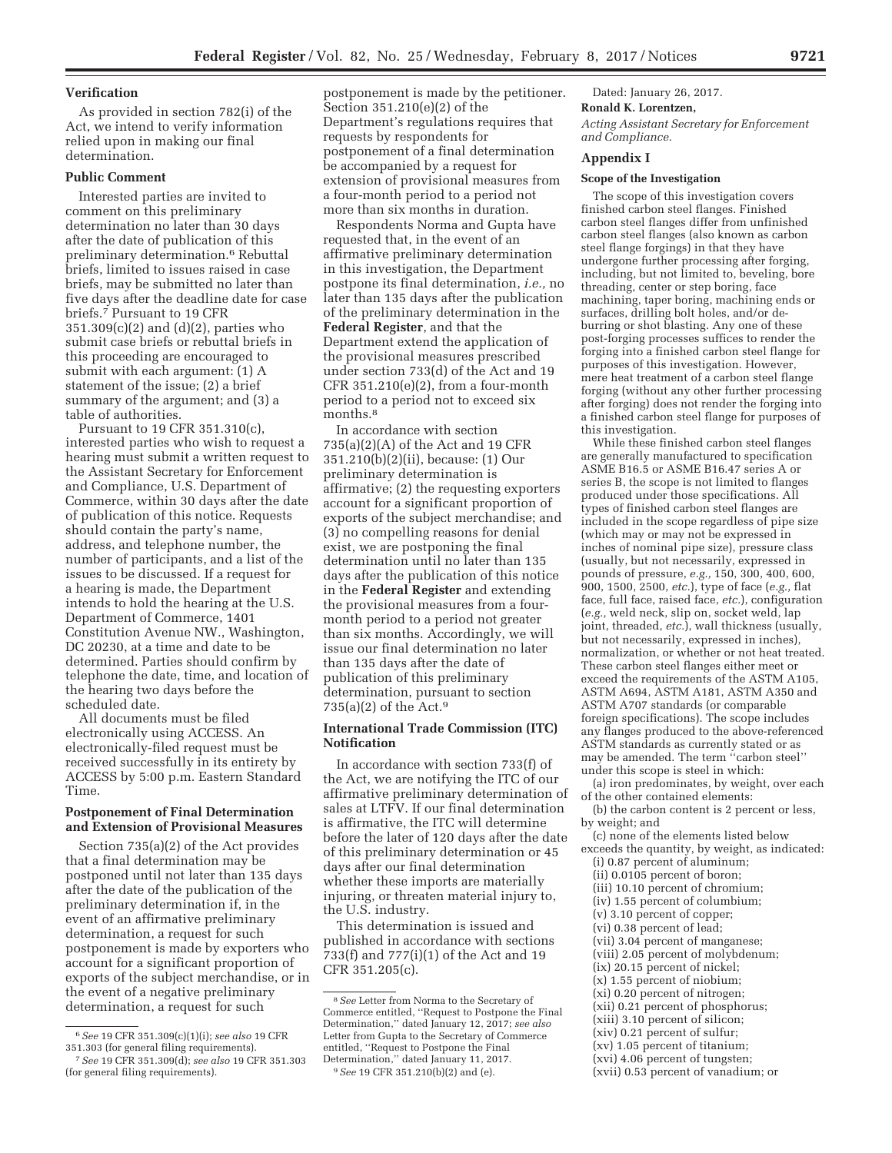#### **Verification**

As provided in section 782(i) of the Act, we intend to verify information relied upon in making our final determination.

# **Public Comment**

Interested parties are invited to comment on this preliminary determination no later than 30 days after the date of publication of this preliminary determination.6 Rebuttal briefs, limited to issues raised in case briefs, may be submitted no later than five days after the deadline date for case briefs.7 Pursuant to 19 CFR 351.309(c)(2) and (d)(2), parties who submit case briefs or rebuttal briefs in this proceeding are encouraged to submit with each argument: (1) A statement of the issue; (2) a brief summary of the argument; and (3) a table of authorities.

Pursuant to 19 CFR 351.310(c), interested parties who wish to request a hearing must submit a written request to the Assistant Secretary for Enforcement and Compliance, U.S. Department of Commerce, within 30 days after the date of publication of this notice. Requests should contain the party's name, address, and telephone number, the number of participants, and a list of the issues to be discussed. If a request for a hearing is made, the Department intends to hold the hearing at the U.S. Department of Commerce, 1401 Constitution Avenue NW., Washington, DC 20230, at a time and date to be determined. Parties should confirm by telephone the date, time, and location of the hearing two days before the scheduled date.

All documents must be filed electronically using ACCESS. An electronically-filed request must be received successfully in its entirety by ACCESS by 5:00 p.m. Eastern Standard Time.

# **Postponement of Final Determination and Extension of Provisional Measures**

Section 735(a)(2) of the Act provides that a final determination may be postponed until not later than 135 days after the date of the publication of the preliminary determination if, in the event of an affirmative preliminary determination, a request for such postponement is made by exporters who account for a significant proportion of exports of the subject merchandise, or in the event of a negative preliminary determination, a request for such

postponement is made by the petitioner. Section 351.210(e)(2) of the Department's regulations requires that requests by respondents for postponement of a final determination be accompanied by a request for extension of provisional measures from a four-month period to a period not more than six months in duration.

Respondents Norma and Gupta have requested that, in the event of an affirmative preliminary determination in this investigation, the Department postpone its final determination, *i.e.,* no later than 135 days after the publication of the preliminary determination in the **Federal Register**, and that the Department extend the application of the provisional measures prescribed under section 733(d) of the Act and 19 CFR  $351.210(e)(2)$ , from a four-month period to a period not to exceed six months.<sup>8</sup>

In accordance with section 735(a)(2)(A) of the Act and 19 CFR 351.210(b)(2)(ii), because: (1) Our preliminary determination is affirmative; (2) the requesting exporters account for a significant proportion of exports of the subject merchandise; and (3) no compelling reasons for denial exist, we are postponing the final determination until no later than 135 days after the publication of this notice in the **Federal Register** and extending the provisional measures from a fourmonth period to a period not greater than six months. Accordingly, we will issue our final determination no later than 135 days after the date of publication of this preliminary determination, pursuant to section 735(a)(2) of the Act.9

# **International Trade Commission (ITC) Notification**

In accordance with section 733(f) of the Act, we are notifying the ITC of our affirmative preliminary determination of sales at LTFV. If our final determination is affirmative, the ITC will determine before the later of 120 days after the date of this preliminary determination or 45 days after our final determination whether these imports are materially injuring, or threaten material injury to, the U.S. industry.

This determination is issued and published in accordance with sections 733(f) and 777(i)(1) of the Act and 19 CFR 351.205(c).

Dated: January 26, 2017.

# **Ronald K. Lorentzen,**

*Acting Assistant Secretary for Enforcement and Compliance.* 

# **Appendix I**

## **Scope of the Investigation**

The scope of this investigation covers finished carbon steel flanges. Finished carbon steel flanges differ from unfinished carbon steel flanges (also known as carbon steel flange forgings) in that they have undergone further processing after forging, including, but not limited to, beveling, bore threading, center or step boring, face machining, taper boring, machining ends or surfaces, drilling bolt holes, and/or deburring or shot blasting. Any one of these post-forging processes suffices to render the forging into a finished carbon steel flange for purposes of this investigation. However, mere heat treatment of a carbon steel flange forging (without any other further processing after forging) does not render the forging into a finished carbon steel flange for purposes of this investigation.

While these finished carbon steel flanges are generally manufactured to specification ASME B16.5 or ASME B16.47 series A or series B, the scope is not limited to flanges produced under those specifications. All types of finished carbon steel flanges are included in the scope regardless of pipe size (which may or may not be expressed in inches of nominal pipe size), pressure class (usually, but not necessarily, expressed in pounds of pressure, *e.g.,* 150, 300, 400, 600, 900, 1500, 2500, *etc.*), type of face (*e.g.,* flat face, full face, raised face, *etc.*), configuration (*e.g.,* weld neck, slip on, socket weld, lap joint, threaded, *etc.*), wall thickness (usually, but not necessarily, expressed in inches), normalization, or whether or not heat treated. These carbon steel flanges either meet or exceed the requirements of the ASTM A105, ASTM A694, ASTM A181, ASTM A350 and ASTM A707 standards (or comparable foreign specifications). The scope includes any flanges produced to the above-referenced ASTM standards as currently stated or as may be amended. The term ''carbon steel'' under this scope is steel in which:

(a) iron predominates, by weight, over each of the other contained elements:

(b) the carbon content is 2 percent or less, by weight; and

(c) none of the elements listed below exceeds the quantity, by weight, as indicated: (i) 0.87 percent of aluminum; (ii) 0.0105 percent of boron; (iii) 10.10 percent of chromium; (iv) 1.55 percent of columbium; (v) 3.10 percent of copper; (vi) 0.38 percent of lead; (vii) 3.04 percent of manganese; (viii) 2.05 percent of molybdenum; (ix) 20.15 percent of nickel; (x) 1.55 percent of niobium; (xi) 0.20 percent of nitrogen; (xii) 0.21 percent of phosphorus; (xiii) 3.10 percent of silicon;

- (xiv) 0.21 percent of sulfur;
- (xv) 1.05 percent of titanium;

(xvii) 0.53 percent of vanadium; or

<sup>6</sup>*See* 19 CFR 351.309(c)(1)(i); *see also* 19 CFR 351.303 (for general filing requirements).

<sup>7</sup>*See* 19 CFR 351.309(d); *see also* 19 CFR 351.303 (for general filing requirements).

<sup>8</sup>*See* Letter from Norma to the Secretary of Commerce entitled, ''Request to Postpone the Final Determination,'' dated January 12, 2017; *see also*  Letter from Gupta to the Secretary of Commerce entitled, ''Request to Postpone the Final Determination,'' dated January 11, 2017. 9*See* 19 CFR 351.210(b)(2) and (e).

<sup>(</sup>xvi) 4.06 percent of tungsten;